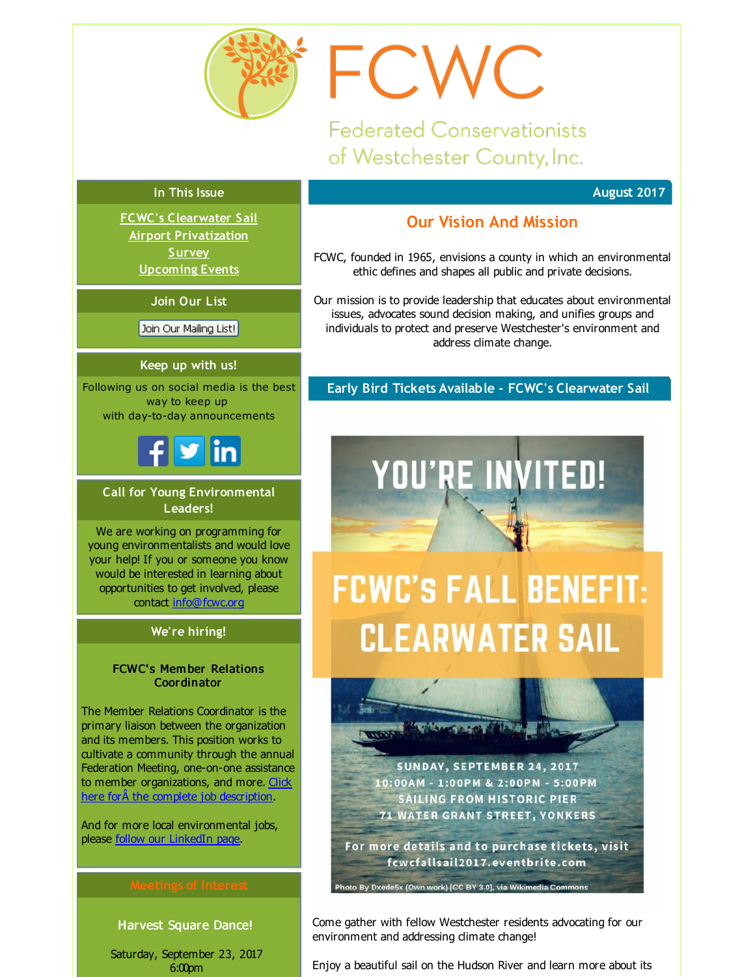<span id="page-0-0"></span>

**Federated Conservationists** of Westchester County, Inc.

FCWC

#### **In This Issue**

**FCWC's [Clearwater](#page-0-0) Sail Airport [Privatization](#page-0-0) [Survey](#page-0-0) [Upcoming](#page-0-0) Events**

**Join Our List**

Join Our Mailing List!

#### **Keep up with us!**

Following us on social media is the best way to keep up with day-to-day announcements



#### **Call for Young Environmental Leaders!**

We are working on programming for young environmentalists and would love your help! If you or someone you know would be interested in learning about opportunities to get involved, please contact [info@fcwc.org](mailto:info@fcwc.org)

#### **We're hiring!**

#### FCWC' s Mem ber Relations **Coordinator**

The Member Relations Coordinator is the primary liaison between the organization and its members. This position works to cultivate a community through the annual Federation Meeting, one-on-one assistance to member [organizations,](http://r20.rs6.net/tn.jsp?f=001sEi2vL3eysdtiOaZRn23nu26yJ-D3360FEQL_7V1cWIxJ8wKciZHn7VE7RYApdvjw5qY4HewfVijm9ebkeIC6woMGM89UreWL1w8qEjfP4DuslKNvc8hSGU3YHsVIt0CejZATYFZLQpiRcVmqXFxAWX_vIaj9KdcClpgn04qT1QnATigOzV5bbxoaDqFLTXELq5FBuCvyLChG93wZqIObxyXrjAiqwZF-CXRN0_KCXlDNGcinw9jM0sOmgYLj9eE&c=&ch=) and more. Click here forÂ the complete job description.

And for more local environmental jobs, please follow our [LinkedIn](http://r20.rs6.net/tn.jsp?f=001sEi2vL3eysdtiOaZRn23nu26yJ-D3360FEQL_7V1cWIxJ8wKciZHn_uW75tpa4gKZguQBzZARob3GgTrQvqnDj_WkBvTCs1Q8DHsOjbUcOdvGO4ZdJVS9jYKyuCgwvSiJo_tkkPpTRUHFXNEF2txRRrHvcgCWT2Aezp8pqiORyImn7jN0CbEWOJsXJls7vsGhLZB-04Xge9uMsltOyG0Og==&c=&ch=) page.

#### Harvest Square Dance!

Saturday, September 23, 2017 6:00pm

#### **August 2017**

## **Our Vision And Mission**

FCWC, founded in 1965, envisions a county in which an environmental ethic defines and shapes all public and private decisions.

Our mission is to provide leadership that educates about environmental issues, advocates sound decision making, and unifies groups and individuals to protect and preserve Westchester's environment and address climate change.

#### **Early Bird Tickets Available - FCWC's Clearwater Sail**

YOU'RE INVITED!

# **FCWC'S FALL BENEFIT: CLEARWATER SAIL**

SUNDAY, SEPTEMBER 24, 2017 10:00AM - 1:00PM & 2:00PM - 5:00PM **SAILING FROM HISTORIC PIER 71 WATER GRANT STREET, YONKERS** 

For more details and to purchase tickets, visit fcwcfallsail2017.eventbrite.com

o By Dxede5x (Own work) [CC BY 3.0], via Wikimedia Cor

Come gather with fellow Westchester residents advocating for our environment and addressing climate change!

Enjoy a beautiful sail on the Hudson River and learn more about its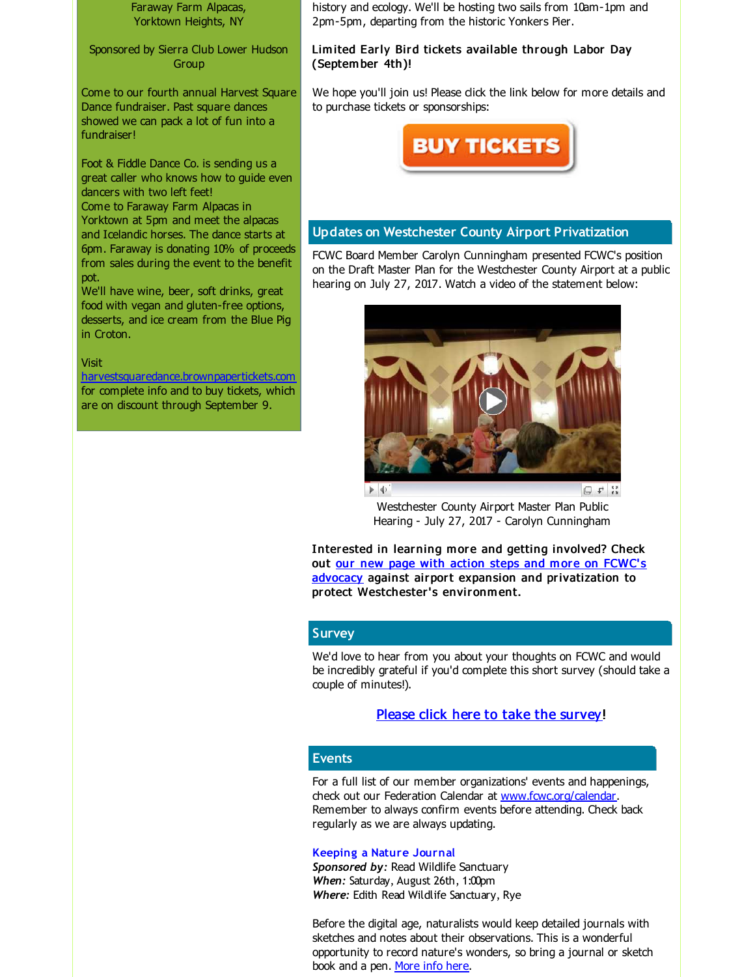Faraway Farm Alpacas, Yorktown Heights, NY

Sponsored by Sierra Club Lower Hudson Group

Come to our fourth annual Harvest Square Dance fundraiser. Past square dances showed we can pack a lot of fun into a fundraiser!

Foot & Fiddle Dance Co. is sending us a great caller who knows how to guide even dancers with two left feet! Come to Faraway Farm Alpacas in Yorktown at 5pm and meet the alpacas and Icelandic horses. The dance starts at 6pm. Faraway is donating 10% of proceeds from sales during the event to the benefit pot.

We'll have wine, beer, soft drinks, great food with vegan and gluten-free options, desserts, and ice cream from the Blue Pig in Croton.

#### Visit

[harvestsquaredance.brownpapertickets.com](http://r20.rs6.net/tn.jsp?f=001sEi2vL3eysdtiOaZRn23nu26yJ-D3360FEQL_7V1cWIxJ8wKciZHn7VE7RYApdvjeG2W9ecxvaCn24nRA73MnvTwfm4VwFrgqT5pMalBgf2N7vY1RETvBbpoP-K88JKr_1gtmMHPwPtd9E8b562Cz2udN0ZvPn5B8kw-cX1BG6Hv-Mzv-DkiiJCqcHDlSWHXAfr0f3H2ejU=&c=&ch=) for complete info and to buy tickets, which are on discount through September 9.

history and ecology. We'll be hosting two sails from 10am-1pm and 2pm-5pm, departing from the historic Yonkers Pier.

#### Limited Early Bird tickets available through Labor Day (Septem ber 4th)!

We hope you'll join us! Please click the link below for more details and to purchase tickets or sponsorships:



#### **Updates on Westchester County Airport Privatization**

FCWC Board Member Carolyn Cunningham presented FCWC's position on the Draft Master Plan for the Westchester County Airport at a public hearing on July 27, 2017. Watch a video of the statement below:



Westchester County Airport Master Plan Public Hearing - July 27, 2017 - Carolyn Cunningham

Interested in learning more and getting involved? Check out our new page with action steps and more on FCWC's advocacy against airport expansion and [privatization](http://r20.rs6.net/tn.jsp?f=001sEi2vL3eysdtiOaZRn23nu26yJ-D3360FEQL_7V1cWIxJ8wKciZHn7VE7RYApdvj6TN8nXOD9kXqS-mfWHG8ubp-_Et-cUZiI43zs3IX_COfEAXNxwNHgtcAnL3LbsnrN3-qyrHtENuGCLQJanwziVp8xKBp-6uLMPPZD_fmNrRrIDSMrSTExbbRcVxlVwYdKKH87zBnh8U=&c=&ch=) to protect Westchester's environment.

### **Survey**

We'd love to hear from you about your thoughts on FCWC and would be incredibly grateful if you'd complete this short survey (should take a couple of minutes!).

#### Please click here to take the [survey](http://r20.rs6.net/tn.jsp?f=001sEi2vL3eysdtiOaZRn23nu26yJ-D3360FEQL_7V1cWIxJ8wKciZHn2hZBOosKbKraJcKBEs6eCyDIjNMjiFayZq6on9pPgGNT46oChmZImPXJ1l8iwR5Zzw1f6SiSpsKr1NLbHMRCxJ98r3XiMYeK5JYskFdkeqLOYgOP_JJnCnGNhSIvBMfyF2NK-HSuPjD&c=&ch=)!

#### **Events**

For a full list of our member organizations' events and happenings, check out our Federation Calendar at [www.fcwc.org/calendar](http://r20.rs6.net/tn.jsp?f=001sEi2vL3eysdtiOaZRn23nu26yJ-D3360FEQL_7V1cWIxJ8wKciZHn7d0tbog2pvm4KAJIdojL982N-l4iul_jeia2mnRE6CPMo7kEYg5vNPp2pU1U5_mDcZ0I-83KD55PEI8Fv0PiW8tChHixz010zP5oaMTXpIypWlVOOukcgo8w1OL_2L4BAjwggBqgHN3&c=&ch=). Remember to always confirm events before attending. Check back regularly as we are always updating.

#### **Keeping a Nature Journal**

*Sponsored by:* Read Wildlife Sanctuary *When:* Saturday, August 26th, 1:00pm *Where:* Edith Read Wildlife Sanctuary, Rye

Before the digital age, naturalists would keep detailed journals with sketches and notes about their observations. This is a wonderful opportunity to record nature's wonders, so bring a journal or sketch book and a pen. [More](http://r20.rs6.net/tn.jsp?f=001sEi2vL3eysdtiOaZRn23nu26yJ-D3360FEQL_7V1cWIxJ8wKciZHn7VE7RYApdvj9PROOWeb8ZY2XfyhiPPXxTlJYKJ8sRD2NsedystPXW57AOJszmndSh1y25xI__yZOrJp6j4OpsR7iozN_KyyR65ktXmFUkQ9I3UfG9O1zSmaMBstMpaBZqu8Tw-yR2O_KenirgZMAkwUPQZmzA8tInAw4gA6TfcyQmYSnSX6_E0UIzLgnDkckk6xaNPeFi6w4MMLwxJozY0W8bX0xZn5U0RVx2SMj_DpPKuAf4Nk8Hc=&c=&ch=) info here.